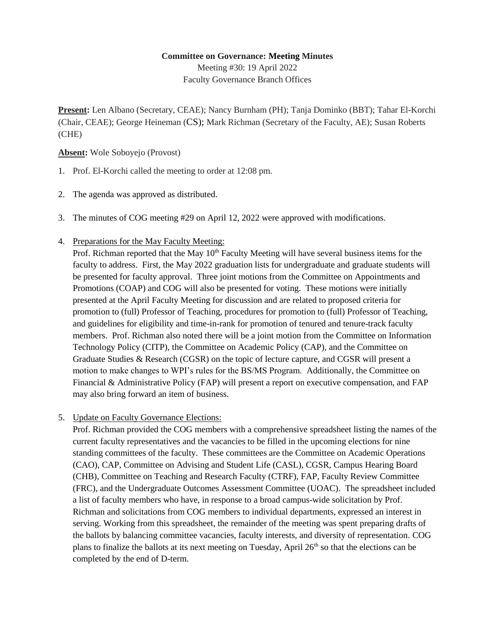## **Committee on Governance: Meeting Minutes**

Meeting #30: 19 April 2022 Faculty Governance Branch Offices

**Present:** Len Albano (Secretary, CEAE); Nancy Burnham (PH); Tanja Dominko (BBT); Tahar El-Korchi (Chair, CEAE); George Heineman (CS); Mark Richman (Secretary of the Faculty, AE); Susan Roberts (CHE)

## **Absent:** Wole Soboyejo (Provost)

- 1. Prof. El-Korchi called the meeting to order at 12:08 pm.
- 2. The agenda was approved as distributed.
- 3. The minutes of COG meeting #29 on April 12, 2022 were approved with modifications.
- 4. Preparations for the May Faculty Meeting:

Prof. Richman reported that the May  $10<sup>th</sup>$  Faculty Meeting will have several business items for the faculty to address. First, the May 2022 graduation lists for undergraduate and graduate students will be presented for faculty approval. Three joint motions from the Committee on Appointments and Promotions (COAP) and COG will also be presented for voting. These motions were initially presented at the April Faculty Meeting for discussion and are related to proposed criteria for promotion to (full) Professor of Teaching, procedures for promotion to (full) Professor of Teaching, and guidelines for eligibility and time-in-rank for promotion of tenured and tenure-track faculty members. Prof. Richman also noted there will be a joint motion from the Committee on Information Technology Policy (CITP), the Committee on Academic Policy (CAP), and the Committee on Graduate Studies & Research (CGSR) on the topic of lecture capture, and CGSR will present a motion to make changes to WPI's rules for the BS/MS Program. Additionally, the Committee on Financial & Administrative Policy (FAP) will present a report on executive compensation, and FAP may also bring forward an item of business.

## 5. Update on Faculty Governance Elections:

Prof. Richman provided the COG members with a comprehensive spreadsheet listing the names of the current faculty representatives and the vacancies to be filled in the upcoming elections for nine standing committees of the faculty. These committees are the Committee on Academic Operations (CAO), CAP, Committee on Advising and Student Life (CASL), CGSR, Campus Hearing Board (CHB), Committee on Teaching and Research Faculty (CTRF), FAP, Faculty Review Committee (FRC), and the Undergraduate Outcomes Assessment Committee (UOAC). The spreadsheet included a list of faculty members who have, in response to a broad campus-wide solicitation by Prof. Richman and solicitations from COG members to individual departments, expressed an interest in serving. Working from this spreadsheet, the remainder of the meeting was spent preparing drafts of the ballots by balancing committee vacancies, faculty interests, and diversity of representation. COG plans to finalize the ballots at its next meeting on Tuesday, April  $26<sup>th</sup>$  so that the elections can be completed by the end of D-term.